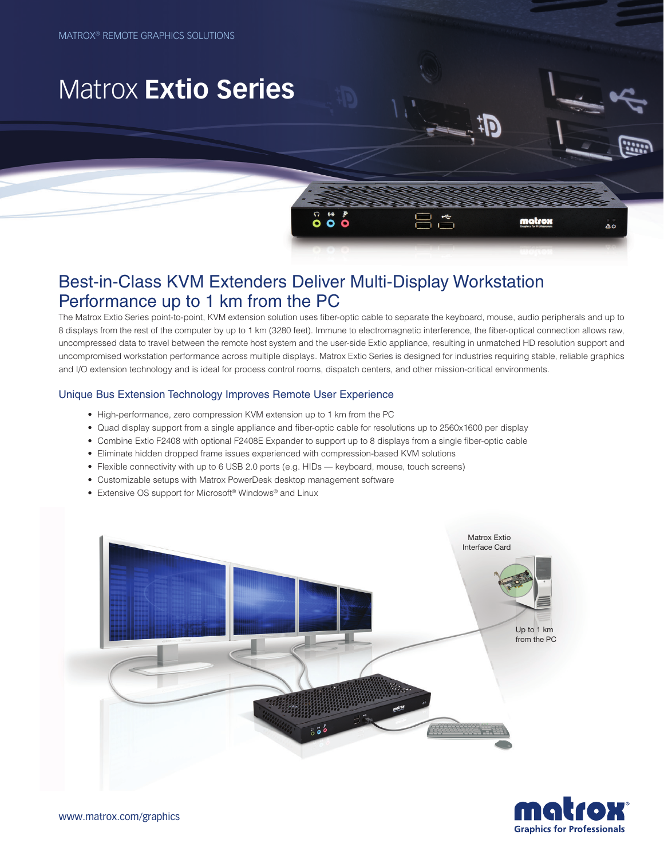# Matrox **Extio Series**

## Best-in-Class KVM Extenders Deliver Multi-Display Workstation Performance up to 1 km from the PC

The Matrox Extio Series point-to-point, KVM extension solution uses fiber-optic cable to separate the keyboard, mouse, audio peripherals and up to 8 displays from the rest of the computer by up to 1 km (3280 feet). Immune to electromagnetic interference, the fiber-optical connection allows raw, uncompressed data to travel between the remote host system and the user-side Extio appliance, resulting in unmatched HD resolution support and uncompromised workstation performance across multiple displays. Matrox Extio Series is designed for industries requiring stable, reliable graphics and I/O extension technology and is ideal for process control rooms, dispatch centers, and other mission-critical environments.

86

matrox

ΔÓ

### Unique Bus Extension Technology Improves Remote User Experience

- High-performance, zero compression KVM extension up to 1 km from the PC
- • Quad display support from a single appliance and fiber-optic cable for resolutions up to 2560x1600 per display
- • Combine Extio F2408 with optional F2408E Expander to support up to 8 displays from a single fiber-optic cable
- • Eliminate hidden dropped frame issues experienced with compression-based KVM solutions
- Flexible connectivity with up to 6 USB 2.0 ports (e.g. HIDs keyboard, mouse, touch screens)
- Customizable setups with Matrox PowerDesk desktop management software
- Extensive OS support for Microsoft<sup>®</sup> Windows<sup>®</sup> and Linux